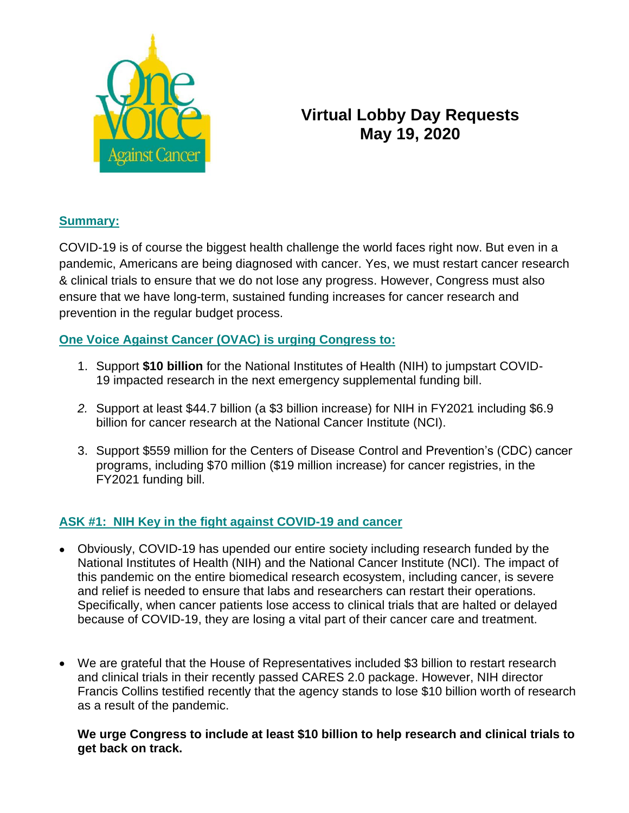

# **Virtual Lobby Day Requests May 19, 2020**

## **Summary:**

COVID-19 is of course the biggest health challenge the world faces right now. But even in a pandemic, Americans are being diagnosed with cancer. Yes, we must restart cancer research & clinical trials to ensure that we do not lose any progress. However, Congress must also ensure that we have long-term, sustained funding increases for cancer research and prevention in the regular budget process.

# **One Voice Against Cancer (OVAC) is urging Congress to:**

- 1. Support **\$10 billion** for the National Institutes of Health (NIH) to jumpstart COVID-19 impacted research in the next emergency supplemental funding bill.
- *2.* Support at least \$44.7 billion (a \$3 billion increase) for NIH in FY2021 including \$6.9 billion for cancer research at the National Cancer Institute (NCI).
- 3. Support \$559 million for the Centers of Disease Control and Prevention's (CDC) cancer programs, including \$70 million (\$19 million increase) for cancer registries, in the FY2021 funding bill.

# **ASK #1: NIH Key in the fight against COVID-19 and cancer**

- Obviously, COVID-19 has upended our entire society including research funded by the National Institutes of Health (NIH) and the National Cancer Institute (NCI). The impact of this pandemic on the entire biomedical research ecosystem, including cancer, is severe and relief is needed to ensure that labs and researchers can restart their operations. Specifically, when cancer patients lose access to clinical trials that are halted or delayed because of COVID-19, they are losing a vital part of their cancer care and treatment.
- We are grateful that the House of Representatives included \$3 billion to restart research and clinical trials in their recently passed CARES 2.0 package. However, NIH director Francis Collins testified recently that the agency stands to lose \$10 billion worth of research as a result of the pandemic.

#### **We urge Congress to include at least \$10 billion to help research and clinical trials to get back on track.**